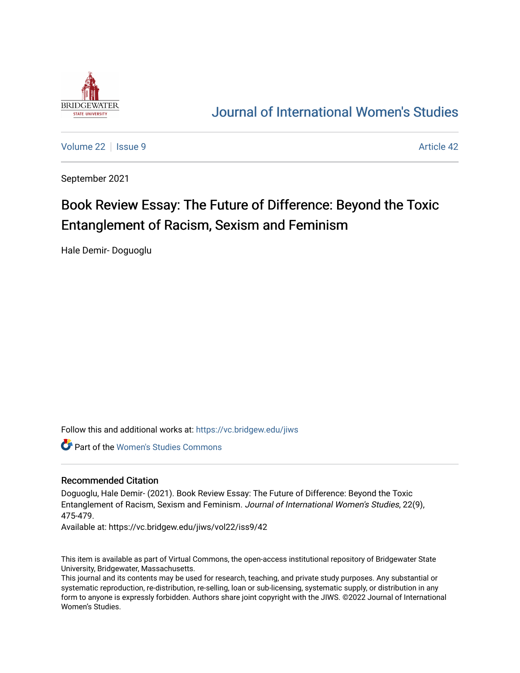

## [Journal of International Women's Studies](https://vc.bridgew.edu/jiws)

[Volume 22](https://vc.bridgew.edu/jiws/vol22) | [Issue 9](https://vc.bridgew.edu/jiws/vol22/iss9) Article 42

September 2021

# Book Review Essay: The Future of Difference: Beyond the Toxic Entanglement of Racism, Sexism and Feminism

Hale Demir- Doguoglu

Follow this and additional works at: [https://vc.bridgew.edu/jiws](https://vc.bridgew.edu/jiws?utm_source=vc.bridgew.edu%2Fjiws%2Fvol22%2Fiss9%2F42&utm_medium=PDF&utm_campaign=PDFCoverPages)

Part of the [Women's Studies Commons](http://network.bepress.com/hgg/discipline/561?utm_source=vc.bridgew.edu%2Fjiws%2Fvol22%2Fiss9%2F42&utm_medium=PDF&utm_campaign=PDFCoverPages) 

#### Recommended Citation

Doguoglu, Hale Demir- (2021). Book Review Essay: The Future of Difference: Beyond the Toxic Entanglement of Racism, Sexism and Feminism. Journal of International Women's Studies, 22(9), 475-479.

Available at: https://vc.bridgew.edu/jiws/vol22/iss9/42

This item is available as part of Virtual Commons, the open-access institutional repository of Bridgewater State University, Bridgewater, Massachusetts.

This journal and its contents may be used for research, teaching, and private study purposes. Any substantial or systematic reproduction, re-distribution, re-selling, loan or sub-licensing, systematic supply, or distribution in any form to anyone is expressly forbidden. Authors share joint copyright with the JIWS. ©2022 Journal of International Women's Studies.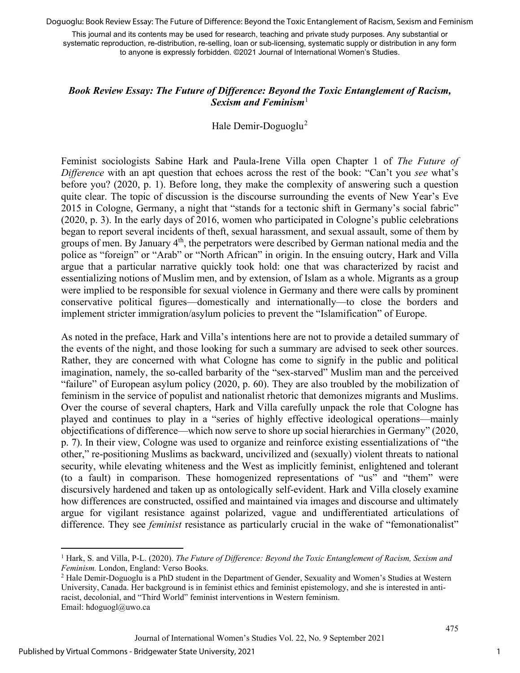Doguoglu: Book Review Essay: The Future of Difference: Beyond the Toxic Entanglement of Racism, Sexism and Feminism

This journal and its contents may be used for research, teaching and private study purposes. Any substantial or systematic reproduction, re-distribution, re-selling, loan or sub-licensing, systematic supply or distribution in any form to anyone is expressly forbidden. ©2021 Journal of International Women's Studies.

### *Book Review Essay: The Future of Difference: Beyond the Toxic Entanglement of Racism, Sexism and Feminism*[1](#page-1-0)

#### Hale Demir-Doguoglu<sup>[2](#page-1-1)</sup>

Feminist sociologists Sabine Hark and Paula-Irene Villa open Chapter 1 of *The Future of Difference* with an apt question that echoes across the rest of the book: "Can't you *see* what's before you? (2020, p. 1). Before long, they make the complexity of answering such a question quite clear. The topic of discussion is the discourse surrounding the events of New Year's Eve 2015 in Cologne, Germany, a night that "stands for a tectonic shift in Germany's social fabric" (2020, p. 3). In the early days of 2016, women who participated in Cologne's public celebrations began to report several incidents of theft, sexual harassment, and sexual assault, some of them by groups of men. By January  $4<sup>th</sup>$ , the perpetrators were described by German national media and the police as "foreign" or "Arab" or "North African" in origin. In the ensuing outcry, Hark and Villa argue that a particular narrative quickly took hold: one that was characterized by racist and essentializing notions of Muslim men, and by extension, of Islam as a whole. Migrants as a group were implied to be responsible for sexual violence in Germany and there were calls by prominent conservative political figures—domestically and internationally—to close the borders and implement stricter immigration/asylum policies to prevent the "Islamification" of Europe.

As noted in the preface, Hark and Villa's intentions here are not to provide a detailed summary of the events of the night, and those looking for such a summary are advised to seek other sources. Rather, they are concerned with what Cologne has come to signify in the public and political imagination, namely, the so-called barbarity of the "sex-starved" Muslim man and the perceived "failure" of European asylum policy (2020, p. 60). They are also troubled by the mobilization of feminism in the service of populist and nationalist rhetoric that demonizes migrants and Muslims. Over the course of several chapters, Hark and Villa carefully unpack the role that Cologne has played and continues to play in a "series of highly effective ideological operations—mainly objectifications of difference—which now serve to shore up social hierarchies in Germany" (2020, p. 7). In their view, Cologne was used to organize and reinforce existing essentializations of "the other," re-positioning Muslims as backward, uncivilized and (sexually) violent threats to national security, while elevating whiteness and the West as implicitly feminist, enlightened and tolerant (to a fault) in comparison. These homogenized representations of "us" and "them" were discursively hardened and taken up as ontologically self-evident. Hark and Villa closely examine how differences are constructed, ossified and maintained via images and discourse and ultimately argue for vigilant resistance against polarized, vague and undifferentiated articulations of difference. They see *feminist* resistance as particularly crucial in the wake of "femonationalist"

<span id="page-1-0"></span><sup>1</sup> Hark, S. and Villa, P-L. (2020). *The Future of Difference: Beyond the Toxic Entanglement of Racism, Sexism and Feminism.* London, England: Verso Books.<br><sup>2</sup> Hale Demir-Doguoglu is a PhD student in the Department of Gender, Sexuality and Women's Studies at Western

<span id="page-1-1"></span>University, Canada. Her background is in feminist ethics and feminist epistemology, and she is interested in antiracist, decolonial, and "Third World" feminist interventions in Western feminism. Email: hdoguogl@uwo.ca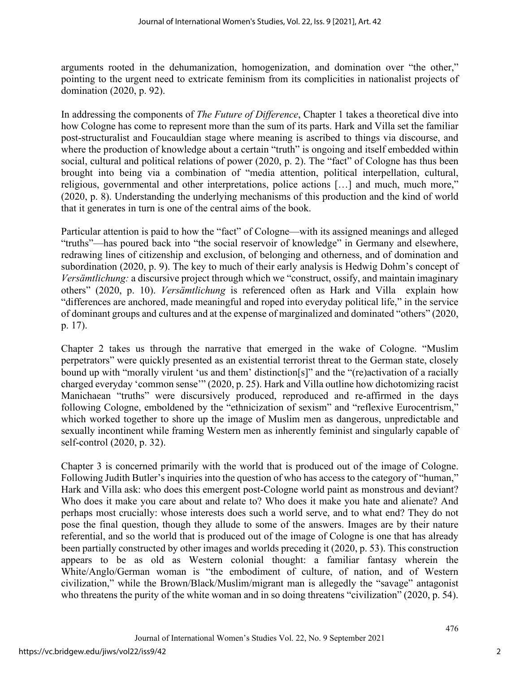arguments rooted in the dehumanization, homogenization, and domination over "the other," pointing to the urgent need to extricate feminism from its complicities in nationalist projects of domination (2020, p. 92).

In addressing the components of *The Future of Difference*, Chapter 1 takes a theoretical dive into how Cologne has come to represent more than the sum of its parts. Hark and Villa set the familiar post-structuralist and Foucauldian stage where meaning is ascribed to things via discourse, and where the production of knowledge about a certain "truth" is ongoing and itself embedded within social, cultural and political relations of power (2020, p. 2). The "fact" of Cologne has thus been brought into being via a combination of "media attention, political interpellation, cultural, religious, governmental and other interpretations, police actions […] and much, much more," (2020, p. 8). Understanding the underlying mechanisms of this production and the kind of world that it generates in turn is one of the central aims of the book.

Particular attention is paid to how the "fact" of Cologne—with its assigned meanings and alleged "truths"—has poured back into "the social reservoir of knowledge" in Germany and elsewhere, redrawing lines of citizenship and exclusion, of belonging and otherness, and of domination and subordination (2020, p. 9). The key to much of their early analysis is Hedwig Dohm's concept of *Versämtlichung:* a discursive project through which we "construct, ossify, and maintain imaginary others" (2020, p. 10). *Versämtlichung* is referenced often as Hark and Villa explain how "differences are anchored, made meaningful and roped into everyday political life," in the service of dominant groups and cultures and at the expense of marginalized and dominated "others" (2020, p. 17).

Chapter 2 takes us through the narrative that emerged in the wake of Cologne. "Muslim perpetrators" were quickly presented as an existential terrorist threat to the German state, closely bound up with "morally virulent 'us and them' distinction[s]" and the "(re)activation of a racially charged everyday 'common sense'" (2020, p. 25). Hark and Villa outline how dichotomizing racist Manichaean "truths" were discursively produced, reproduced and re-affirmed in the days following Cologne, emboldened by the "ethnicization of sexism" and "reflexive Eurocentrism," which worked together to shore up the image of Muslim men as dangerous, unpredictable and sexually incontinent while framing Western men as inherently feminist and singularly capable of self-control (2020, p. 32).

Chapter 3 is concerned primarily with the world that is produced out of the image of Cologne. Following Judith Butler's inquiries into the question of who has access to the category of "human," Hark and Villa ask: who does this emergent post-Cologne world paint as monstrous and deviant? Who does it make you care about and relate to? Who does it make you hate and alienate? And perhaps most crucially: whose interests does such a world serve, and to what end? They do not pose the final question, though they allude to some of the answers. Images are by their nature referential, and so the world that is produced out of the image of Cologne is one that has already been partially constructed by other images and worlds preceding it (2020, p. 53). This construction appears to be as old as Western colonial thought: a familiar fantasy wherein the White/Anglo/German woman is "the embodiment of culture, of nation, and of Western civilization," while the Brown/Black/Muslim/migrant man is allegedly the "savage" antagonist who threatens the purity of the white woman and in so doing threatens "civilization" (2020, p. 54).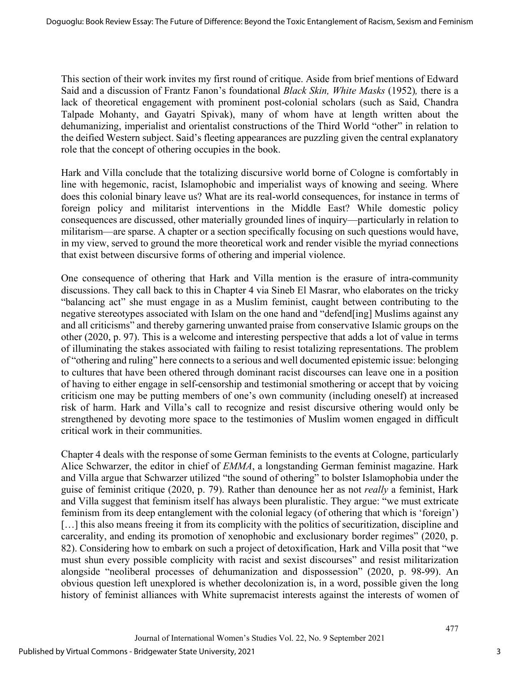This section of their work invites my first round of critique. Aside from brief mentions of Edward Said and a discussion of Frantz Fanon's foundational *Black Skin, White Masks* (1952)*,* there is a lack of theoretical engagement with prominent post-colonial scholars (such as Said, Chandra Talpade Mohanty, and Gayatri Spivak), many of whom have at length written about the dehumanizing, imperialist and orientalist constructions of the Third World "other" in relation to the deified Western subject. Said's fleeting appearances are puzzling given the central explanatory role that the concept of othering occupies in the book.

Hark and Villa conclude that the totalizing discursive world borne of Cologne is comfortably in line with hegemonic, racist, Islamophobic and imperialist ways of knowing and seeing. Where does this colonial binary leave us? What are its real-world consequences, for instance in terms of foreign policy and militarist interventions in the Middle East? While domestic policy consequences are discussed, other materially grounded lines of inquiry—particularly in relation to militarism—are sparse. A chapter or a section specifically focusing on such questions would have, in my view, served to ground the more theoretical work and render visible the myriad connections that exist between discursive forms of othering and imperial violence.

One consequence of othering that Hark and Villa mention is the erasure of intra-community discussions. They call back to this in Chapter 4 via Sineb El Masrar, who elaborates on the tricky "balancing act" she must engage in as a Muslim feminist, caught between contributing to the negative stereotypes associated with Islam on the one hand and "defend[ing] Muslims against any and all criticisms" and thereby garnering unwanted praise from conservative Islamic groups on the other (2020, p. 97). This is a welcome and interesting perspective that adds a lot of value in terms of illuminating the stakes associated with failing to resist totalizing representations. The problem of "othering and ruling" here connects to a serious and well documented epistemic issue: belonging to cultures that have been othered through dominant racist discourses can leave one in a position of having to either engage in self-censorship and testimonial smothering or accept that by voicing criticism one may be putting members of one's own community (including oneself) at increased risk of harm. Hark and Villa's call to recognize and resist discursive othering would only be strengthened by devoting more space to the testimonies of Muslim women engaged in difficult critical work in their communities.

Chapter 4 deals with the response of some German feminists to the events at Cologne, particularly Alice Schwarzer, the editor in chief of *EMMA*, a longstanding German feminist magazine. Hark and Villa argue that Schwarzer utilized "the sound of othering" to bolster Islamophobia under the guise of feminist critique (2020, p. 79). Rather than denounce her as not *really* a feminist, Hark and Villa suggest that feminism itself has always been pluralistic. They argue: "we must extricate feminism from its deep entanglement with the colonial legacy (of othering that which is 'foreign') [...] this also means freeing it from its complicity with the politics of securitization, discipline and carcerality, and ending its promotion of xenophobic and exclusionary border regimes" (2020, p. 82). Considering how to embark on such a project of detoxification, Hark and Villa posit that "we must shun every possible complicity with racist and sexist discourses" and resist militarization alongside "neoliberal processes of dehumanization and dispossession" (2020, p. 98-99). An obvious question left unexplored is whether decolonization is, in a word, possible given the long history of feminist alliances with White supremacist interests against the interests of women of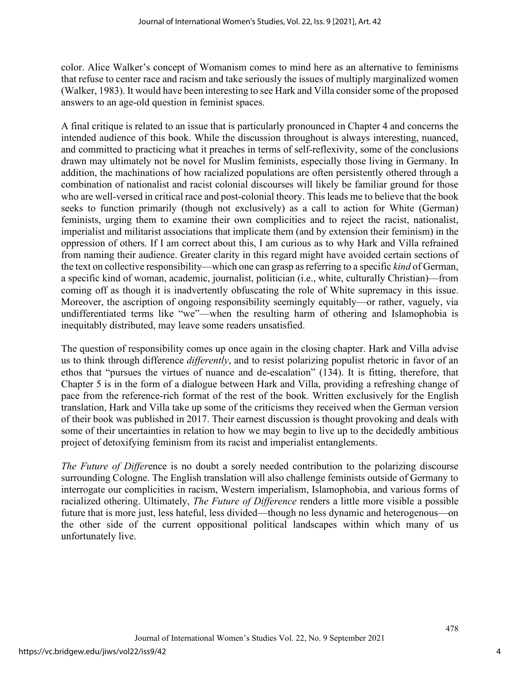color. Alice Walker's concept of Womanism comes to mind here as an alternative to feminisms that refuse to center race and racism and take seriously the issues of multiply marginalized women (Walker, 1983). It would have been interesting to see Hark and Villa consider some of the proposed answers to an age-old question in feminist spaces.

A final critique is related to an issue that is particularly pronounced in Chapter 4 and concerns the intended audience of this book. While the discussion throughout is always interesting, nuanced, and committed to practicing what it preaches in terms of self-reflexivity, some of the conclusions drawn may ultimately not be novel for Muslim feminists, especially those living in Germany. In addition, the machinations of how racialized populations are often persistently othered through a combination of nationalist and racist colonial discourses will likely be familiar ground for those who are well-versed in critical race and post-colonial theory. This leads me to believe that the book seeks to function primarily (though not exclusively) as a call to action for White (German) feminists, urging them to examine their own complicities and to reject the racist, nationalist, imperialist and militarist associations that implicate them (and by extension their feminism) in the oppression of others. If I am correct about this, I am curious as to why Hark and Villa refrained from naming their audience. Greater clarity in this regard might have avoided certain sections of the text on collective responsibility—which one can grasp as referring to a specific *kind* of German, a specific kind of woman, academic, journalist, politician (i.e., white, culturally Christian)—from coming off as though it is inadvertently obfuscating the role of White supremacy in this issue. Moreover, the ascription of ongoing responsibility seemingly equitably—or rather, vaguely, via undifferentiated terms like "we"—when the resulting harm of othering and Islamophobia is inequitably distributed, may leave some readers unsatisfied.

The question of responsibility comes up once again in the closing chapter. Hark and Villa advise us to think through difference *differently*, and to resist polarizing populist rhetoric in favor of an ethos that "pursues the virtues of nuance and de-escalation" (134). It is fitting, therefore, that Chapter 5 is in the form of a dialogue between Hark and Villa, providing a refreshing change of pace from the reference-rich format of the rest of the book. Written exclusively for the English translation, Hark and Villa take up some of the criticisms they received when the German version of their book was published in 2017. Their earnest discussion is thought provoking and deals with some of their uncertainties in relation to how we may begin to live up to the decidedly ambitious project of detoxifying feminism from its racist and imperialist entanglements.

*The Future of Differ*ence is no doubt a sorely needed contribution to the polarizing discourse surrounding Cologne. The English translation will also challenge feminists outside of Germany to interrogate our complicities in racism, Western imperialism, Islamophobia, and various forms of racialized othering. Ultimately, *The Future of Difference* renders a little more visible a possible future that is more just, less hateful, less divided—though no less dynamic and heterogenous—on the other side of the current oppositional political landscapes within which many of us unfortunately live.